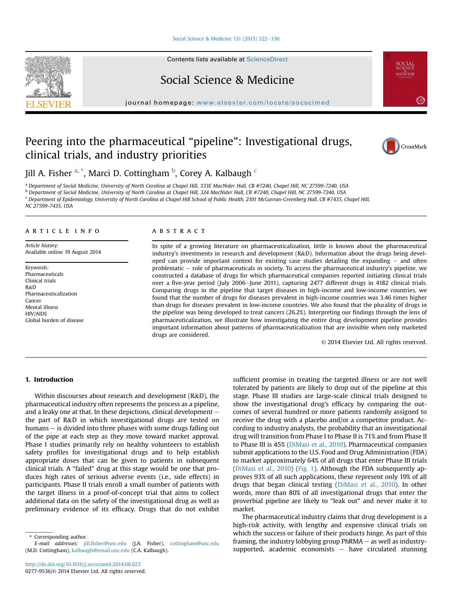#### [Social Science & Medicine 131 \(2015\) 322](http://dx.doi.org/10.1016/j.socscimed.2014.08.023)-[330](http://dx.doi.org/10.1016/j.socscimed.2014.08.023)

Contents lists available at [ScienceDirect](www.sciencedirect.com/science/journal/02779536)

# Social Science & Medicine

journal homepage: [www.elsevier.com/locate/socscimed](http://www.elsevier.com/locate/socscimed)

# Peering into the pharmaceutical "pipeline": Investigational drugs, clinical trials, and industry priorities



Jill A. Fisher <sup>a, \*</sup>, Marci D. Cottingham <sup>b</sup>, Corey A. Kalbaugh <sup>c</sup>

<sup>a</sup> Department of Social Medicine, University of North Carolina at Chapel Hill, 333E MacNider Hall, CB #7240, Chapel Hill, NC 27599-7240, USA

<sup>b</sup> Department of Social Medicine, University of North Carolina at Chapel Hill, 324 MacNider Hall, CB #7240, Chapel Hill, NC 27599-7240, USA

<sup>c</sup> Department of Epidemiology, University of North Carolina at Chapel Hill School of Public Health, 2101 McGavran-Greenberg Hall, CB #7435, Chapel Hill,

NC 27599-7435, USA

## article info

Article history: Available online 19 August 2014

Keywords: Pharmaceuticals Clinical trials R&D Pharmaceuticalization Cancer Mental illness HIV/AIDS Global burden of disease

# ABSTRACT

In spite of a growing literature on pharmaceuticalization, little is known about the pharmaceutical industry's investments in research and development (R&D). Information about the drugs being developed can provide important context for existing case studies detailing the expanding  $-$  and often problematic e role of pharmaceuticals in society. To access the pharmaceutical industry's pipeline, we constructed a database of drugs for which pharmaceutical companies reported initiating clinical trials over a five-year period (July 2006-June 2011), capturing 2477 different drugs in 4182 clinical trials. Comparing drugs in the pipeline that target diseases in high-income and low-income countries, we found that the number of drugs for diseases prevalent in high-income countries was 3.46 times higher than drugs for diseases prevalent in low-income countries. We also found that the plurality of drugs in the pipeline was being developed to treat cancers (26.2%). Interpreting our findings through the lens of pharmaceuticalization, we illustrate how investigating the entire drug development pipeline provides important information about patterns of pharmaceuticalization that are invisible when only marketed drugs are considered.

© 2014 Elsevier Ltd. All rights reserved.

# 1. Introduction

Within discourses about research and development (R&D), the pharmaceutical industry often represents the process as a pipeline, and a leaky one at that. In these depictions, clinical development  $$ the part of R&D in which investigational drugs are tested on humans  $-$  is divided into three phases with some drugs falling out of the pipe at each step as they move toward market approval. Phase I studies primarily rely on healthy volunteers to establish safety profiles for investigational drugs and to help establish appropriate doses that can be given to patients in subsequent clinical trials. A "failed" drug at this stage would be one that produces high rates of serious adverse events (i.e., side effects) in participants. Phase II trials enroll a small number of patients with the target illness in a proof-of-concept trial that aims to collect additional data on the safety of the investigational drug as well as preliminary evidence of its efficacy. Drugs that do not exhibit

\* Corresponding author.

sufficient promise in treating the targeted illness or are not well tolerated by patients are likely to drop out of the pipeline at this stage. Phase III studies are large-scale clinical trials designed to show the investigational drug's efficacy by comparing the outcomes of several hundred or more patients randomly assigned to receive the drug with a placebo and/or a competitor product. According to industry analysts, the probability that an investigational drug will transition from Phase I to Phase II is 71% and from Phase II to Phase III is 45% ([DiMasi et al., 2010](#page-7-0)). Pharmaceutical companies submit applications to the U.S. Food and Drug Administration (FDA) to market approximately 64% of all drugs that enter Phase III trials ([DiMasi et al., 2010\)](#page-7-0) [\(Fig. 1\)](#page-1-0). Although the FDA subsequently approves 93% of all such applications, these represent only 19% of all drugs that began clinical testing [\(DiMasi et al., 2010\)](#page-7-0). In other words, more than 80% of all investigational drugs that enter the proverbial pipeline are likely to "leak out" and never make it to market.

The pharmaceutical industry claims that drug development is a high-risk activity, with lengthy and expensive clinical trials on which the success or failure of their products hinge. As part of this framing, the industry lobbying group  $PhRMA -$  as well as industrysupported, academic economists  $-$  have circulated stunning



E-mail addresses: jill.fi[sher@unc.edu](mailto:jill.fisher@unc.edu) (J.A. Fisher), [cottingham@unc.edu](mailto:cottingham@unc.edu) (M.D. Cottingham), [kalbaugh@email.unc.edu](mailto:kalbaugh@email.unc.edu) (C.A. Kalbaugh).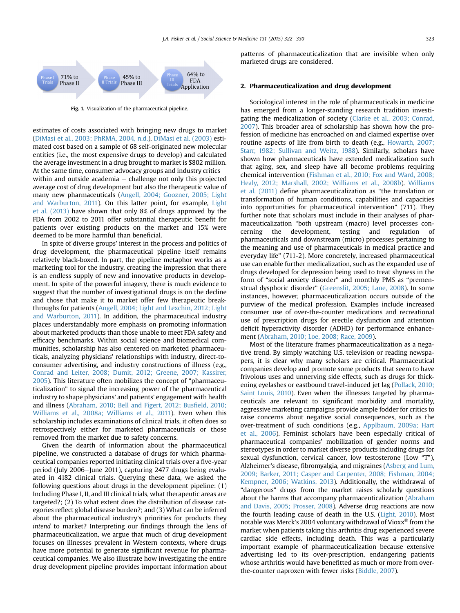<span id="page-1-0"></span>

Fig. 1. Visualization of the pharmaceutical pipeline.

estimates of costs associated with bringing new drugs to market ([DiMasi et al., 2003; PhRMA, 2004, n.d.\)](#page-7-0). [DiMasi et al. \(2003\)](#page-7-0) estimated cost based on a sample of 68 self-originated new molecular entities (i.e., the most expensive drugs to develop) and calculated the average investment in a drug brought to market is \$802 million. At the same time, consumer advocacy groups and industry critics  $$ within and outside academia  $-$  challenge not only this projected average cost of drug development but also the therapeutic value of many new pharmaceuticals [\(Angell, 2004; Goozner, 2005; Light](#page-7-0) [and Warburton, 2011\)](#page-7-0). On this latter point, for example, [Light](#page-7-0) [et al. \(2013\)](#page-7-0) have shown that only 8% of drugs approved by the FDA from 2002 to 2011 offer substantial therapeutic benefit for patients over existing products on the market and 15% were deemed to be more harmful than beneficial.

In spite of diverse groups' interest in the process and politics of drug development, the pharmaceutical pipeline itself remains relatively black-boxed. In part, the pipeline metaphor works as a marketing tool for the industry, creating the impression that there is an endless supply of new and innovative products in development. In spite of the powerful imagery, there is much evidence to suggest that the number of investigational drugs is on the decline and those that make it to market offer few therapeutic breakthroughs for patients ([Angell, 2004; Light and Lexchin, 2012; Light](#page-7-0) [and Warburton, 2011\)](#page-7-0). In addition, the pharmaceutical industry places understandably more emphasis on promoting information about marketed products than those unable to meet FDA safety and efficacy benchmarks. Within social science and biomedical communities, scholarship has also centered on marketed pharmaceuticals, analyzing physicians' relationships with industry, direct-toconsumer advertising, and industry constructions of illness (e.g., [Conrad and Leiter, 2008; Dumit, 2012; Greene, 2007; Kassirer,](#page-7-0) [2005\)](#page-7-0). This literature often mobilizes the concept of "pharmaceuticalization" to signal the increasing power of the pharmaceutical industry to shape physicians' and patients' engagement with health and illness [\(Abraham, 2010; Bell and Figert, 2012; Bus](#page-7-0)field, 2010; [Williams et al., 2008a; Williams et al., 2011](#page-7-0)). Even when this scholarship includes examinations of clinical trials, it often does so retrospectively either for marketed pharmaceuticals or those removed from the market due to safety concerns.

Given the dearth of information about the pharmaceutical pipeline, we constructed a database of drugs for which pharmaceutical companies reported initiating clinical trials over a five-year period (July 2006-June 2011), capturing 2477 drugs being evaluated in 4182 clinical trials. Querying these data, we asked the following questions about drugs in the development pipeline: (1) Including Phase I, II, and III clinical trials, what therapeutic areas are targeted?; (2) To what extent does the distribution of disease categories reflect global disease burden?; and (3) What can be inferred about the pharmaceutical industry's priorities for products they intend to market? Interpreting our findings through the lens of pharmaceuticalization, we argue that much of drug development focuses on illnesses prevalent in Western contexts, where drugs have more potential to generate significant revenue for pharmaceutical companies. We also illustrate how investigating the entire drug development pipeline provides important information about patterns of pharmaceuticalization that are invisible when only marketed drugs are considered.

# 2. Pharmaceuticalization and drug development

Sociological interest in the role of pharmaceuticals in medicine has emerged from a longer-standing research tradition investigating the medicalization of society ([Clarke et al., 2003; Conrad,](#page-7-0) [2007\)](#page-7-0). This broader area of scholarship has shown how the profession of medicine has encroached on and claimed expertise over routine aspects of life from birth to death (e.g., [Howarth, 2007;](#page-7-0) [Starr, 1982; Sullivan and Weitz, 1988](#page-7-0)). Similarly, scholars have shown how pharmaceuticals have extended medicalization such that aging, sex, and sleep have all become problems requiring chemical intervention ([Fishman et al., 2010; Fox and Ward, 2008;](#page-7-0) [Healy, 2012; Marshall, 2002; Williams et al., 2008b](#page-7-0)). [Williams](#page-8-0) [et al. \(2011\)](#page-8-0) define pharmaceuticalization as "the translation or transformation of human conditions, capabilities and capacities into opportunities for pharmaceutical intervention" (711). They further note that scholars must include in their analyses of pharmaceuticalization "both upstream (macro) level processes concerning the development, testing and regulation of pharmaceuticals and downstream (micro) processes pertaining to the meaning and use of pharmaceuticals in medical practice and everyday life" (711-2). More concretely, increased pharmaceutical use can enable further medicalization, such as the expanded use of drugs developed for depression being used to treat shyness in the form of "social anxiety disorder" and monthly PMS as "premenstrual dysphoric disorder" ([Greenslit, 2005; Lane, 2008\)](#page-7-0). In some instances, however, pharmaceuticalization occurs outside of the purview of the medical profession. Examples include increased consumer use of over-the-counter medications and recreational use of prescription drugs for erectile dysfunction and attention deficit hyperactivity disorder (ADHD) for performance enhancement ([Abraham, 2010; Loe, 2008; Race, 2009](#page-7-0)).

Most of the literature frames pharmaceuticalization as a negative trend. By simply watching U.S. television or reading newspapers, it is clear why many scholars are critical. Pharmaceutical companies develop and promote some products that seem to have frivolous uses and unnerving side effects, such as drugs for thickening eyelashes or eastbound travel-induced jet lag ([Pollack, 2010;](#page-7-0) [Saint Louis, 2010](#page-7-0)). Even when the illnesses targeted by pharmaceuticals are relevant to significant morbidity and mortality, aggressive marketing campaigns provide ample fodder for critics to raise concerns about negative social consequences, such as the over-treatment of such conditions (e.g., [Applbaum, 2009a; Hart](#page-7-0) [et al., 2006\)](#page-7-0). Feminist scholars have been especially critical of pharmaceutical companies' mobilization of gender norms and stereotypes in order to market diverse products including drugs for sexual dysfunction, cervical cancer, low testosterone (Low "T"), Alzheimer's disease, fibromyalgia, and migraines ([Asberg and Lum,](#page-7-0) [2009; Barker, 2011; Casper and Carpenter, 2008; Fishman, 2004;](#page-7-0) [Kempner, 2006; Watkins, 2013](#page-7-0)). Additionally, the withdrawal of "dangerous" drugs from the market raises scholarly questions about the harms that accompany pharmaceuticalization [\(Abraham](#page-7-0) [and Davis, 2005; Prosser, 2008\)](#page-7-0). Adverse drug reactions are now the fourth leading cause of death in the U.S. ([Light, 2010](#page-7-0)). Most notable was Merck's 2004 voluntary withdrawal of Vioxx® from the market when patients taking this arthritis drug experienced severe cardiac side effects, including death. This was a particularly important example of pharmaceuticalization because extensive advertising led to its over-prescription, endangering patients whose arthritis would have benefitted as much or more from overthe-counter naproxen with fewer risks ([Biddle, 2007](#page-7-0)).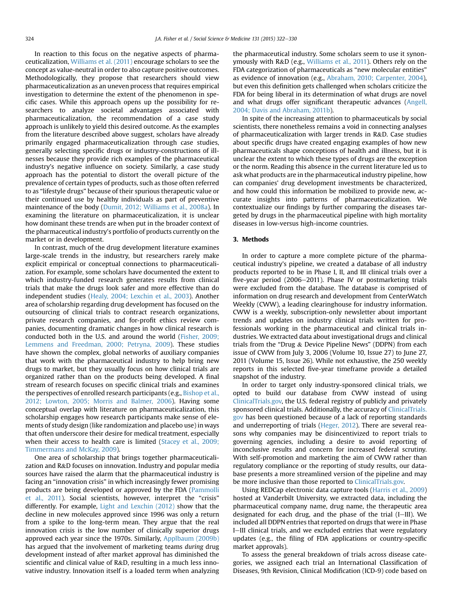In reaction to this focus on the negative aspects of pharmaceuticalization, [Williams et al. \(2011\)](#page-8-0) encourage scholars to see the concept as value-neutral in order to also capture positive outcomes. Methodologically, they propose that researchers should view pharmaceuticalization as an uneven process that requires empirical investigation to determine the extent of the phenomenon in specific cases. While this approach opens up the possibility for researchers to analyze societal advantages associated with pharmaceuticalization, the recommendation of a case study approach is unlikely to yield this desired outcome. As the examples from the literature described above suggest, scholars have already primarily engaged pharmaceuticalization through case studies, generally selecting specific drugs or industry-constructions of illnesses because they provide rich examples of the pharmaceutical industry's negative influence on society. Similarly, a case study approach has the potential to distort the overall picture of the prevalence of certain types of products, such as those often referred to as "lifestyle drugs" because of their spurious therapeutic value or their continued use by healthy individuals as part of preventive maintenance of the body ([Dumit, 2012; Williams et al., 2008a\)](#page-7-0). In examining the literature on pharmaceuticalization, it is unclear how dominant these trends are when put in the broader context of the pharmaceutical industry's portfolio of products currently on the market or in development.

In contrast, much of the drug development literature examines large-scale trends in the industry, but researchers rarely make explicit empirical or conceptual connections to pharmaceuticalization. For example, some scholars have documented the extent to which industry-funded research generates results from clinical trials that make the drugs look safer and more effective than do independent studies [\(Healy, 2004; Lexchin et al., 2003\)](#page-7-0). Another area of scholarship regarding drug development has focused on the outsourcing of clinical trials to contract research organizations, private research companies, and for-profit ethics review companies, documenting dramatic changes in how clinical research is conducted both in the U.S. and around the world ([Fisher, 2009;](#page-7-0) [Lemmens and Freedman, 2000; Petryna, 2009](#page-7-0)). These studies have shown the complex, global networks of auxiliary companies that work with the pharmaceutical industry to help bring new drugs to market, but they usually focus on how clinical trials are organized rather than on the products being developed. A final stream of research focuses on specific clinical trials and examines the perspectives of enrolled research participants (e.g., [Bishop et al.,](#page-7-0) [2012; Lowton, 2005; Morris and Balmer, 2006](#page-7-0)). Having some conceptual overlap with literature on pharmaceuticalization, this scholarship engages how research participants make sense of elements of study design (like randomization and placebo use) in ways that often underscore their desire for medical treatment, especially when their access to health care is limited ([Stacey et al., 2009;](#page-7-0) [Timmermans and McKay, 2009\)](#page-7-0).

One area of scholarship that brings together pharmaceuticalization and R&D focuses on innovation. Industry and popular media sources have raised the alarm that the pharmaceutical industry is facing an "innovation crisis" in which increasingly fewer promising products are being developed or approved by the FDA ([Pammolli](#page-7-0) [et al., 2011\)](#page-7-0). Social scientists, however, interpret the "crisis" differently. For example, [Light and Lexchin \(2012\)](#page-7-0) show that the decline in new molecules approved since 1996 was only a return from a spike to the long-term mean. They argue that the real innovation crisis is the low number of clinically superior drugs approved each year since the 1970s. Similarly, [Applbaum \(2009b\)](#page-7-0) has argued that the involvement of marketing teams during drug development instead of after market approval has diminished the scientific and clinical value of R&D, resulting in a much less innovative industry. Innovation itself is a loaded term when analyzing the pharmaceutical industry. Some scholars seem to use it synonymously with R&D (e.g., [Williams et al., 2011](#page-8-0)). Others rely on the FDA categorization of pharmaceuticals as "new molecular entities" as evidence of innovation (e.g., [Abraham, 2010; Carpenter, 2004\)](#page-7-0), but even this definition gets challenged when scholars criticize the FDA for being liberal in its determination of what drugs are novel and what drugs offer significant therapeutic advances ([Angell,](#page-7-0) [2004; Davis and Abraham, 2011b](#page-7-0)).

In spite of the increasing attention to pharmaceuticals by social scientists, there nonetheless remains a void in connecting analyses of pharmaceuticalization with larger trends in R&D. Case studies about specific drugs have created engaging examples of how new pharmaceuticals shape conceptions of health and illness, but it is unclear the extent to which these types of drugs are the exception or the norm. Reading this absence in the current literature led us to ask what products are in the pharmaceutical industry pipeline, how can companies' drug development investments be characterized, and how could this information be mobilized to provide new, accurate insights into patterns of pharmaceuticalization. We contextualize our findings by further comparing the diseases targeted by drugs in the pharmaceutical pipeline with high mortality diseases in low-versus high-income countries.

# 3. Methods

In order to capture a more complete picture of the pharmaceutical industry's pipeline, we created a database of all industry products reported to be in Phase I, II, and III clinical trials over a five-year period  $(2006-2011)$ . Phase IV or postmarketing trials were excluded from the database. The database is comprised of information on drug research and development from CenterWatch Weekly (CWW), a leading clearinghouse for industry information. CWW is a weekly, subscription-only newsletter about important trends and updates on industry clinical trials written for professionals working in the pharmaceutical and clinical trials industries. We extracted data about investigational drugs and clinical trials from the "Drug & Device Pipeline News" (DDPN) from each issue of CWW from July 3, 2006 (Volume 10, Issue 27) to June 27, 2011 (Volume 15, Issue 26). While not exhaustive, the 250 weekly reports in this selected five-year timeframe provide a detailed snapshot of the industry.

In order to target only industry-sponsored clinical trials, we opted to build our database from CWW instead of using [ClinicalTrials.gov,](http://ClinicalTrials.gov) the U.S. federal registry of publicly and privately sponsored clinical trials. Additionally, the accuracy of [ClinicalTrials.](http://ClinicalTrials.gov) [gov](http://ClinicalTrials.gov) has been questioned because of a lack of reporting standards and underreporting of trials [\(Heger, 2012\)](#page-7-0). There are several reasons why companies may be disincentivized to report trials to governing agencies, including a desire to avoid reporting of inconclusive results and concern for increased federal scrutiny. With self-promotion and marketing the aim of CWW rather than regulatory compliance or the reporting of study results, our database presents a more streamlined version of the pipeline and may be more inclusive than those reported to [ClinicalTrials.gov.](http://ClinicalTrials.gov)

Using REDCap electronic data capture tools ([Harris et al., 2009\)](#page-7-0) hosted at Vanderbilt University, we extracted data, including the pharmaceutical company name, drug name, the therapeutic area designated for each drug, and the phase of the trial  $(I-III)$ . We included all DDPN entries that reported on drugs that were in Phase I-III clinical trials, and we excluded entries that were regulatory updates (e.g., the filing of FDA applications or country-specific market approvals).

To assess the general breakdown of trials across disease categories, we assigned each trial an International Classification of Diseases, 9th Revision, Clinical Modification (ICD-9) code based on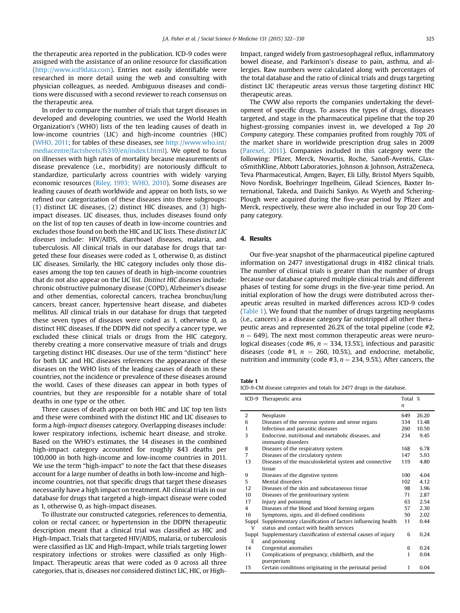the therapeutic area reported in the publication. ICD-9 codes were assigned with the assistance of an online resource for classification (<http://www.icd9data.com>). Entries not easily identifiable were researched in more detail using the web and consulting with physician colleagues, as needed. Ambiguous diseases and conditions were discussed with a second reviewer to reach consensus on the therapeutic area.

In order to compare the number of trials that target diseases in developed and developing countries, we used the World Health Organization's (WHO) lists of the ten leading causes of death in low-income countries (LIC) and high-income countries (HIC) ([WHO, 2011](#page-8-0); for tables of these diseases, see [http://www.who.int/](http://www.who.int/mediacentre/factsheets/fs310/en/index1.html) [mediacentre/factsheets/fs310/en/index1.html\)](http://www.who.int/mediacentre/factsheets/fs310/en/index1.html). We opted to focus on illnesses with high rates of mortality because measurements of disease prevalence (i.e., morbidity) are notoriously difficult to standardize, particularly across countries with widely varying economic resources [\(Riley, 1993; WHO, 2010](#page-7-0)). Some diseases are leading causes of death worldwide and appear on both lists, so we refined our categorization of these diseases into three subgroups: (1) distinct LIC diseases, (2) distinct HIC diseases, and (3) highimpact diseases. LIC diseases, thus, includes diseases found only on the list of top ten causes of death in low-income countries and excludes those found on both the HIC and LIC lists. These distinct LIC diseases include: HIV/AIDS, diarrhoael diseases, malaria, and tuberculosis. All clinical trials in our database for drugs that targeted these four diseases were coded as 1, otherwise 0, as distinct LIC diseases. Similarly, the HIC category includes only those diseases among the top ten causes of death in high-income countries that do not also appear on the LIC list. Distinct HIC diseases include: chronic obstructive pulmonary disease (COPD), Alzheimer's disease and other dementias, colorectal cancers, trachea bronchus/lung cancers, breast cancer, hypertensive heart disease, and diabetes mellitus. All clinical trials in our database for drugs that targeted these seven types of diseases were coded as 1, otherwise 0, as distinct HIC diseases. If the DDPN did not specify a cancer type, we excluded these clinical trials or drugs from the HIC category, thereby creating a more conservative measure of trials and drugs targeting distinct HIC diseases. Our use of the term "distinct" here for both LIC and HIC diseases references the appearance of these diseases on the WHO lists of the leading causes of death in these countries, not the incidence or prevalence of these diseases around the world. Cases of these diseases can appear in both types of countries, but they are responsible for a notable share of total deaths in one type or the other.

Three causes of death appear on both HIC and LIC top ten lists and these were combined with the distinct HIC and LIC diseases to form a high-impact diseases category. Overlapping diseases include: lower respiratory infections, ischemic heart disease, and stroke. Based on the WHO's estimates, the 14 diseases in the combined high-impact category accounted for roughly 843 deaths per 100,000 in both high-income and low-income countries in 2011. We use the term "high-impact" to note the fact that these diseases account for a large number of deaths in both low-income and highincome countries, not that specific drugs that target these diseases necessarily have a high impact on treatment. All clinical trials in our database for drugs that targeted a high-impact disease were coded as 1, otherwise 0, as high-impact diseases.

To illustrate our constructed categories, references to dementia, colon or rectal cancer, or hypertension in the DDPN therapeutic description meant that a clinical trial was classified as HIC and High-Impact. Trials that targeted HIV/AIDS, malaria, or tuberculosis were classified as LIC and High-Impact, while trials targeting lower respiratory infections or strokes were classified as only High-Impact. Therapeutic areas that were coded as 0 across all three categories, that is, diseases not considered distinct LIC, HIC, or HighImpact, ranged widely from gastroesophageal reflux, inflammatory bowel disease, and Parkinson's disease to pain, asthma, and allergies. Raw numbers were calculated along with percentages of the total database and the ratio of clinical trials and drugs targeting distinct LIC therapeutic areas versus those targeting distinct HIC therapeutic areas.

The CWW also reports the companies undertaking the development of specific drugs. To assess the types of drugs, diseases targeted, and stage in the pharmaceutical pipeline that the top 20 highest-grossing companies invest in, we developed a Top 20 Company category. These companies profited from roughly 70% of the market share in worldwide prescription drug sales in 2009 ([Parexel, 2011](#page-7-0)). Companies included in this category were the following: Pfizer, Merck, Novartis, Roche, Sanofi-Aventis, GlaxoSmithKline, Abbott Laboratories, Johnson & Johnson, AstraZeneca, Teva Pharmaceutical, Amgen, Bayer, Eli Lilly, Bristol Myers Squibb, Novo Nordisk, Boehringer Ingelheim, Gilead Sciences, Baxter International, Takeda, and Daiichi Sankyo. As Wyeth and Schering-Plough were acquired during the five-year period by Pfizer and Merck, respectively, these were also included in our Top 20 Company category.

# 4. Results

Our five-year snapshot of the pharmaceutical pipeline captured information on 2477 investigational drugs in 4182 clinical trials. The number of clinical trials is greater than the number of drugs because our database captured multiple clinical trials and different phases of testing for some drugs in the five-year time period. An initial exploration of how the drugs were distributed across therapeutic areas resulted in marked differences across ICD-9 codes (Table 1). We found that the number of drugs targeting neoplasms (i.e., cancers) as a disease category far outstripped all other therapeutic areas and represented 26.2% of the total pipeline (code #2,  $n = 649$ ). The next most common therapeutic areas were neurological diseases (code #6,  $n = 334$ , 13.5%), infectious and parasitic diseases (code #1,  $n = 260, 10.5\%$ ), and endocrine, metabolic, nutrition and immunity (code #3,  $n = 234$ , 9.5%). After cancers, the

#### Table 1

ICD-9-CM disease categories and totals for 2477 drugs in the database.

|                | ICD-9 Therapeutic area                                     |     | Total % |
|----------------|------------------------------------------------------------|-----|---------|
|                |                                                            | n   |         |
| $\overline{c}$ | Neoplasm                                                   | 649 | 26.20   |
| 6              | Diseases of the nervous system and sense organs            | 334 | 13.48   |
| 1              | Infectious and parasitic diseases                          | 260 | 10.50   |
| 3              | Endocrine, nutritional and metabolic diseases, and         | 234 | 9.45    |
|                | immunity disorders                                         |     |         |
| 8              | Diseases of the respiratory system                         | 168 | 6.78    |
| 7              | Diseases of the circulatory system                         | 147 | 5.93    |
| 13             | Diseases of the musculoskeletal system and connective      | 119 | 4.80    |
|                | tissue                                                     |     |         |
| 9              | Diseases of the digestive system                           | 100 | 4.04    |
| 5              | Mental disorders                                           | 102 | 4.12    |
| 12             | Diseases of the skin and subcutaneous tissue               | 98  | 3.96    |
| 10             | Diseases of the genitourinary system                       | 71  | 2.87    |
| 17             | Injury and poisoning                                       | 63  | 2.54    |
| 4              | Diseases of the blood and blood forming organs             | 57  | 2.30    |
| 16             | Symptoms, signs, and ill-defined conditions                | 50  | 2.02    |
| Suppl          | Supplementary classification of factors influencing health | 11  | 0.44    |
| V              | status and contact with health services                    |     |         |
| Suppl          | Supplementary classification of external causes of injury  | 6   | 0.24    |
| E              | and poisoning                                              |     |         |
| 14             | Congenital anomalies                                       | 6   | 0.24    |
| 11             | Complications of pregnancy, childbirth, and the            | 1   | 0.04    |
|                | puerperium                                                 |     |         |
| 15             | Certain conditions originating in the perinatal period     | 1   | 0.04    |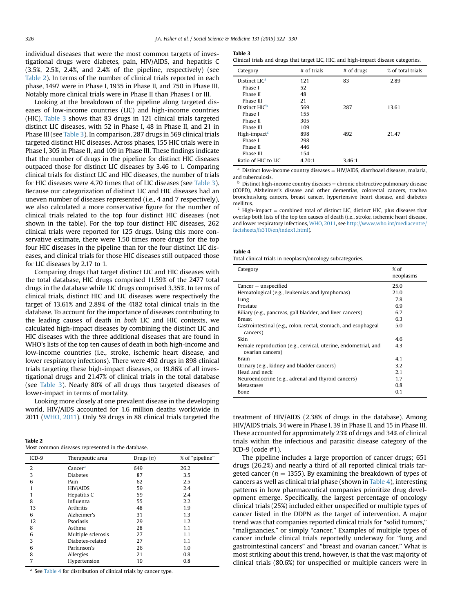<span id="page-4-0"></span>individual diseases that were the most common targets of investigational drugs were diabetes, pain, HIV/AIDS, and hepatitis C (3.5%, 2.5%, 2.4%, and 2.4% of the pipeline, respectively) (see Table 2). In terms of the number of clinical trials reported in each phase, 1497 were in Phase I, 1935 in Phase II, and 750 in Phase III. Notably more clinical trials were in Phase II than Phases I or III.

Looking at the breakdown of the pipeline along targeted diseases of low-income countries (LIC) and high-income countries (HIC), Table 3 shows that 83 drugs in 121 clinical trials targeted distinct LIC diseases, with 52 in Phase I, 48 in Phase II, and 21 in Phase III (see Table 3). In comparison, 287 drugs in 569 clinical trials targeted distinct HIC diseases. Across phases, 155 HIC trials were in Phase I, 305 in Phase II, and 109 in Phase III. These findings indicate that the number of drugs in the pipeline for distinct HIC diseases outpaced those for distinct LIC diseases by 3.46 to 1. Comparing clinical trials for distinct LIC and HIC diseases, the number of trials for HIC diseases were 4.70 times that of LIC diseases (see Table 3). Because our categorization of distinct LIC and HIC diseases had an uneven number of diseases represented (i.e., 4 and 7 respectively), we also calculated a more conservative figure for the number of clinical trials related to the top four distinct HIC diseases (not shown in the table). For the top four distinct HIC diseases, 262 clinical trials were reported for 125 drugs. Using this more conservative estimate, there were 1.50 times more drugs for the top four HIC diseases in the pipeline than for the four distinct LIC diseases, and clinical trials for those HIC diseases still outpaced those for LIC diseases by 2.17 to 1.

Comparing drugs that target distinct LIC and HIC diseases with the total database, HIC drugs comprised 11.59% of the 2477 total drugs in the database while LIC drugs comprised 3.35%. In terms of clinical trials, distinct HIC and LIC diseases were respectively the target of 13.61% and 2.89% of the 4182 total clinical trials in the database. To account for the importance of diseases contributing to the leading causes of death in both LIC and HIC contexts, we calculated high-impact diseases by combining the distinct LIC and HIC diseases with the three additional diseases that are found in WHO's lists of the top ten causes of death in both high-income and low-income countries (i.e., stroke, ischemic heart disease, and lower respiratory infections). There were 492 drugs in 898 clinical trials targeting these high-impact diseases, or 19.86% of all investigational drugs and 21.47% of clinical trials in the total database (see Table 3). Nearly 80% of all drugs thus targeted diseases of lower-impact in terms of mortality.

Looking more closely at one prevalent disease in the developing world, HIV/AIDS accounted for 1.6 million deaths worldwide in 2011 [\(WHO, 2011](#page-8-0)). Only 59 drugs in 88 clinical trials targeted the treatment of HIV/AIDS (2.38% of drugs in the database). Among

| Table 2                                           |  |  |
|---------------------------------------------------|--|--|
| Most common diseases represented in the database. |  |  |

| $ICD-9$ | Therapeutic area    | Drugs $(n)$ | % of "pipeline" |
|---------|---------------------|-------------|-----------------|
| 2       | Cancer <sup>a</sup> | 649         | 26.2            |
| 3       | <b>Diabetes</b>     | 87          | 3.5             |
| 6       | Pain                | 62          | 2.5             |
| 1       | <b>HIV/AIDS</b>     | 59          | 2.4             |
| 1       | Hepatitis C         | 59          | 2.4             |
| 8       | Influenza           | 55          | 2.2             |
| 13      | Arthritis           | 48          | 1.9             |
| 6       | Alzheimer's         | 31          | 1.3             |
| 12      | Psoriasis           | 29          | 1.2             |
| 8       | Asthma              | 28          | 1.1             |
| 6       | Multiple sclerosis  | 27          | 1.1             |
| 3       | Diabetes-related    | 27          | 1.1             |
| 6       | Parkinson's         | 26          | 1.0             |
| 8       | Allergies           | 21          | 0.8             |
| 7       | Hypertension        | 19          | 0.8             |

<sup>a</sup> See Table 4 for distribution of clinical trials by cancer type.

#### Table 3

Clinical trials and drugs that target LIC, HIC, and high-impact disease categories.

| Category                  | $#$ of trials | # of drugs | % of total trials |
|---------------------------|---------------|------------|-------------------|
| Distinct LIC <sup>a</sup> | 121           | 83         | 2.89              |
| Phase I                   | 52            |            |                   |
| Phase II                  | 48            |            |                   |
| Phase III                 | 21            |            |                   |
| Distinct HIC <sup>b</sup> | 569           | 287        | 13.61             |
| Phase I                   | 155           |            |                   |
| Phase II                  | 305           |            |                   |
| Phase III                 | 109           |            |                   |
| High-impact <sup>c</sup>  | 898           | 492        | 21.47             |
| Phase I                   | 298           |            |                   |
| Phase II                  | 446           |            |                   |
| Phase III                 | 154           |            |                   |
| Ratio of HIC to LIC       | 4.70:1        | 3.46:1     |                   |

 $^{\rm a}$  Distinct low-income country diseases = HIV/AIDS, diarrhoael diseases, malaria, and tuberculosis.

Distinct high-income country diseases  $=$  chronic obstructive pulmonary disease (COPD), Alzheimer's disease and other dementias, colorectal cancers, trachea bronchus/lung cancers, breast cancer, hypertensive heart disease, and diabetes mellitus.

 $c$  High-impact  $=$  combined total of distinct LIC, distinct HIC, plus diseases that overlap both lists of the top ten causes of death (i.e., stroke, ischemic heart disease, and lower respiratory infections, [WHO, 2011](#page-8-0), see [http://www.who.int/mediacentre/](http://www.who.int/mediacentre/factsheets/fs310/en/index1.html) [factsheets/fs310/en/index1.html](http://www.who.int/mediacentre/factsheets/fs310/en/index1.html)).

# Table 4

Total clinical trials in neoplasm/oncology subcategories.

| Category                                                                           | $%$ of    |
|------------------------------------------------------------------------------------|-----------|
|                                                                                    | neoplasms |
| $Cancer - unspecified$                                                             | 25.0      |
| Hematological (e.g., leukemias and lymphomas)                                      | 21.0      |
| Lung                                                                               | 7.8       |
| Prostate                                                                           | 6.9       |
| Biliary (e.g., pancreas, gall bladder, and liver cancers)                          | 6.7       |
| Breast                                                                             | 6.3       |
| Gastrointestinal (e.g., colon, rectal, stomach, and esophageal<br>cancers)         | 5.0       |
| Skin                                                                               | 4.6       |
| Female reproduction (e.g., cervical, uterine, endometrial, and<br>ovarian cancers) | 4.3       |
| Brain                                                                              | 4.1       |
| Urinary (e.g., kidney and bladder cancers)                                         | 3.2       |
| Head and neck                                                                      | 2.1       |
| Neuroendocrine (e.g., adrenal and thyroid cancers)                                 | 1.7       |
| Metastases                                                                         | 0.8       |
| Bone                                                                               | 0.1       |

HIV/AIDS trials, 34 were in Phase I, 39 in Phase II, and 15 in Phase III. These accounted for approximately 23% of drugs and 34% of clinical trials within the infectious and parasitic disease category of the ICD-9 (code #1).

The pipeline includes a large proportion of cancer drugs; 651 drugs (26.2%) and nearly a third of all reported clinical trials targeted cancer ( $n = 1355$ ). By examining the breakdown of types of cancers as well as clinical trial phase (shown in Table 4), interesting patterns in how pharmaceutical companies prioritize drug development emerge. Specifically, the largest percentage of oncology clinical trials (25%) included either unspecified or multiple types of cancer listed in the DDPN as the target of intervention. A major trend was that companies reported clinical trials for "solid tumors," "malignancies," or simply "cancer." Examples of multiple types of cancer include clinical trials reportedly underway for "lung and gastrointestinal cancers" and "breast and ovarian cancer." What is most striking about this trend, however, is that the vast majority of clinical trials (80.6%) for unspecified or multiple cancers were in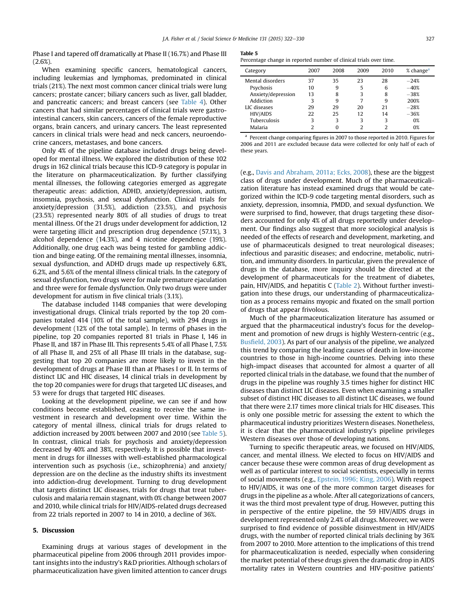Phase I and tapered off dramatically at Phase II (16.7%) and Phase III  $(2.6\%)$ 

When examining specific cancers, hematological cancers, including leukemias and lymphomas, predominated in clinical trials (21%). The next most common cancer clinical trials were lung cancers; prostate cancer; biliary cancers such as liver, gall bladder, and pancreatic cancers; and breast cancers (see [Table 4](#page-4-0)). Other cancers that had similar percentages of clinical trials were gastrointestinal cancers, skin cancers, cancers of the female reproductive organs, brain cancers, and urinary cancers. The least represented cancers in clinical trials were head and neck cancers, neuroendocrine cancers, metastases, and bone cancers.

Only 4% of the pipeline database included drugs being developed for mental illness. We explored the distribution of these 102 drugs in 162 clinical trials because this ICD-9 category is popular in the literature on pharmaceuticalization. By further classifying mental illnesses, the following categories emerged as aggregate therapeutic areas: addiction, ADHD, anxiety/depression, autism, insomnia, psychosis, and sexual dysfunction. Clinical trials for anxiety/depression (31.5%), addiction (23.5%), and psychosis (23.5%) represented nearly 80% of all studies of drugs to treat mental illness. Of the 21 drugs under development for addiction, 12 were targeting illicit and prescription drug dependence (57.1%), 3 alcohol dependence (14.3%), and 4 nicotine dependence (19%). Additionally, one drug each was being tested for gambling addiction and binge eating. Of the remaining mental illnesses, insomnia, sexual dysfunction, and ADHD drugs made up respectively 6.8%, 6.2%, and 5.6% of the mental illness clinical trials. In the category of sexual dysfunction, two drugs were for male premature ejaculation and three were for female dysfunction. Only two drugs were under development for autism in five clinical trials (3.1%).

The database included 1148 companies that were developing investigational drugs. Clinical trials reported by the top 20 companies totaled 414 (10% of the total sample), with 294 drugs in development (12% of the total sample). In terms of phases in the pipeline, top 20 companies reported 81 trials in Phase I, 146 in Phase II, and 187 in Phase III. This represents 5.4% of all Phase I, 7.5% of all Phase II, and 25% of all Phase III trials in the database, suggesting that top 20 companies are more likely to invest in the development of drugs at Phase III than at Phases I or II. In terms of distinct LIC and HIC diseases, 14 clinical trials in development by the top 20 companies were for drugs that targeted LIC diseases, and 53 were for drugs that targeted HIC diseases.

Looking at the development pipeline, we can see if and how conditions become established, ceasing to receive the same investment in research and development over time. Within the category of mental illness, clinical trials for drugs related to addiction increased by 200% between 2007 and 2010 (see Table 5). In contrast, clinical trials for psychosis and anxiety/depression decreased by 40% and 38%, respectively. It is possible that investment in drugs for illnesses with well-established pharmacological intervention such as psychosis (i.e., schizophrenia) and anxiety/ depression are on the decline as the industry shifts its investment into addiction-drug development. Turning to drug development that targets distinct LIC diseases, trials for drugs that treat tuberculosis and malaria remain stagnant, with 0% change between 2007 and 2010, while clinical trials for HIV/AIDS-related drugs decreased from 22 trials reported in 2007 to 14 in 2010, a decline of 36%.

### 5. Discussion

Examining drugs at various stages of development in the pharmaceutical pipeline from 2006 through 2011 provides important insights into the industry's R&D priorities. Although scholars of pharmaceuticalization have given limited attention to cancer drugs

#### Table 5

Percentage change in reported number of clinical trials over time.

| Category           | 2007 | 2008 | 2009 | 2010          | % change <sup>a</sup> |
|--------------------|------|------|------|---------------|-----------------------|
| Mental disorders   | 37   | 35   | 23   | 28            | $-24%$                |
| Psychosis          | 10   | 9    | 5    | 6             | $-40%$                |
| Anxiety/depression | 13   | 8    | 3    | 8             | $-38%$                |
| Addiction          | 3    | q    | 7    | 9             | 200%                  |
| LIC diseases       | 29   | 29   | 20   | 21            | $-28%$                |
| <b>HIV/AIDS</b>    | 22   | 25   | 12   | 14            | $-36%$                |
| Tuberculosis       | 3    | 3    | 3    | 3             | 0%                    |
| Malaria            | ำ    | O    | っ    | $\mathcal{P}$ | 0%                    |

Percent change comparing figures in 2007 to those reported in 2010. Figures for 2006 and 2011 are excluded because data were collected for only half of each of these years.

(e.g., [Davis and Abraham, 2011a; Ecks, 2008\)](#page-7-0), these are the biggest class of drugs under development. Much of the pharmaceuticalization literature has instead examined drugs that would be categorized within the ICD-9 code targeting mental disorders, such as anxiety, depression, insomnia, PMDD, and sexual dysfunction. We were surprised to find, however, that drugs targeting these disorders accounted for only 4% of all drugs reportedly under development. Our findings also suggest that more sociological analysis is needed of the effects of research and development, marketing, and use of pharmaceuticals designed to treat neurological diseases; infectious and parasitic diseases; and endocrine, metabolic, nutrition, and immunity disorders. In particular, given the prevalence of drugs in the database, more inquiry should be directed at the development of pharmaceuticals for the treatment of diabetes, pain, HIV/AIDS, and hepatitis C [\(Table 2\)](#page-4-0). Without further investigation into these drugs, our understanding of pharmaceuticalization as a process remains myopic and fixated on the small portion of drugs that appear frivolous.

Much of the pharmaceuticalization literature has assumed or argued that the pharmaceutical industry's focus for the development and promotion of new drugs is highly Western-centric (e.g., Busfi[eld, 2003\)](#page-7-0). As part of our analysis of the pipeline, we analyzed this trend by comparing the leading causes of death in low-income countries to those in high-income countries. Delving into these high-impact diseases that accounted for almost a quarter of all reported clinical trials in the database, we found that the number of drugs in the pipeline was roughly 3.5 times higher for distinct HIC diseases than distinct LIC diseases. Even when examining a smaller subset of distinct HIC diseases to all distinct LIC diseases, we found that there were 2.17 times more clinical trials for HIC diseases. This is only one possible metric for assessing the extent to which the pharmaceutical industry prioritizes Western diseases. Nonetheless, it is clear that the pharmaceutical industry's pipeline privileges Western diseases over those of developing nations.

Turning to specific therapeutic areas, we focused on HIV/AIDS, cancer, and mental illness. We elected to focus on HIV/AIDS and cancer because these were common areas of drug development as well as of particular interest to social scientists, especially in terms of social movements (e.g., [Epstein, 1996; King, 2006\)](#page-7-0). With respect to HIV/AIDS, it was one of the more common target diseases for drugs in the pipeline as a whole. After all categorizations of cancers, it was the third most prevalent type of drug. However, putting this in perspective of the entire pipeline, the 59 HIV/AIDS drugs in development represented only 2.4% of all drugs. Moreover, we were surprised to find evidence of possible disinvestment in HIV/AIDS drugs, with the number of reported clinical trials declining by 36% from 2007 to 2010. More attention to the implications of this trend for pharmaceuticalization is needed, especially when considering the market potential of these drugs given the dramatic drop in AIDS mortality rates in Western countries and HIV-positive patients'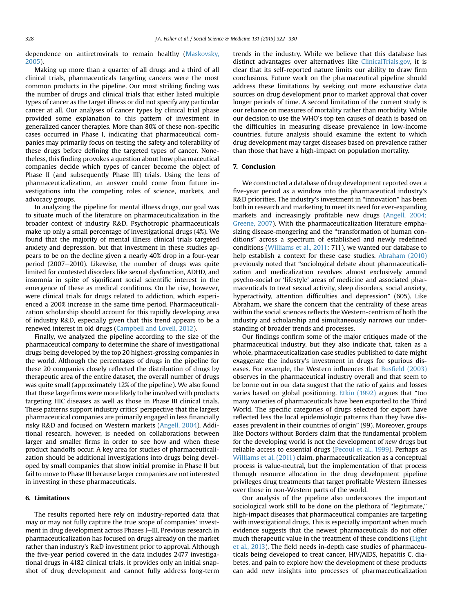dependence on antiretrovirals to remain healthy ([Maskovsky,](#page-7-0) [2005](#page-7-0)).

Making up more than a quarter of all drugs and a third of all clinical trials, pharmaceuticals targeting cancers were the most common products in the pipeline. Our most striking finding was the number of drugs and clinical trials that either listed multiple types of cancer as the target illness or did not specify any particular cancer at all. Our analyses of cancer types by clinical trial phase provided some explanation to this pattern of investment in generalized cancer therapies. More than 80% of these non-specific cases occurred in Phase I, indicating that pharmaceutical companies may primarily focus on testing the safety and tolerability of these drugs before defining the targeted types of cancer. Nonetheless, this finding provokes a question about how pharmaceutical companies decide which types of cancer become the object of Phase II (and subsequently Phase III) trials. Using the lens of pharmaceuticalization, an answer could come from future investigations into the competing roles of science, markets, and advocacy groups.

In analyzing the pipeline for mental illness drugs, our goal was to situate much of the literature on pharmaceuticalization in the broader context of industry R&D. Psychotropic pharmaceuticals make up only a small percentage of investigational drugs (4%). We found that the majority of mental illness clinical trials targeted anxiety and depression, but that investment in these studies appears to be on the decline given a nearly 40% drop in a four-year period (2007-2010). Likewise, the number of drugs was quite limited for contested disorders like sexual dysfunction, ADHD, and insomnia in spite of significant social scientific interest in the emergence of these as medical conditions. On the rise, however, were clinical trials for drugs related to addiction, which experienced a 200% increase in the same time period. Pharmaceuticalization scholarship should account for this rapidly developing area of industry R&D, especially given that this trend appears to be a renewed interest in old drugs ([Campbell and Lovell, 2012](#page-7-0)).

Finally, we analyzed the pipeline according to the size of the pharmaceutical company to determine the share of investigational drugs being developed by the top 20 highest-grossing companies in the world. Although the percentages of drugs in the pipeline for these 20 companies closely reflected the distribution of drugs by therapeutic area of the entire dataset, the overall number of drugs was quite small (approximately 12% of the pipeline). We also found that these large firms were more likely to be involved with products targeting HIC diseases as well as those in Phase III clinical trials. These patterns support industry critics' perspective that the largest pharmaceutical companies are primarily engaged in less financially risky R&D and focused on Western markets [\(Angell, 2004](#page-7-0)). Additional research, however, is needed on collaborations between larger and smaller firms in order to see how and when these product handoffs occur. A key area for studies of pharmaceuticalization should be additional investigations into drugs being developed by small companies that show initial promise in Phase II but fail to move to Phase III because larger companies are not interested in investing in these pharmaceuticals.

# 6. Limitations

The results reported here rely on industry-reported data that may or may not fully capture the true scope of companies' investment in drug development across Phases I-III. Previous research in pharmaceuticalization has focused on drugs already on the market rather than industry's R&D investment prior to approval. Although the five-year period covered in the data includes 2477 investigational drugs in 4182 clinical trials, it provides only an initial snapshot of drug development and cannot fully address long-term trends in the industry. While we believe that this database has distinct advantages over alternatives like [ClinicalTrials.gov,](http://ClinicalTrials.gov) it is clear that its self-reported nature limits our ability to draw firm conclusions. Future work on the pharmaceutical pipeline should address these limitations by seeking out more exhaustive data sources on drug development prior to market approval that cover longer periods of time. A second limitation of the current study is our reliance on measures of mortality rather than morbidity. While our decision to use the WHO's top ten causes of death is based on the difficulties in measuring disease prevalence in low-income countries, future analysis should examine the extent to which drug development may target diseases based on prevalence rather than those that have a high-impact on population mortality.

#### 7. Conclusion

We constructed a database of drug development reported over a five-year period as a window into the pharmaceutical industry's R&D priorities. The industry's investment in "innovation" has been both in research and marketing to meet its need for ever-expanding markets and increasingly profitable new drugs ([Angell, 2004;](#page-7-0) [Greene, 2007\)](#page-7-0). With the pharmaceuticalization literature emphasizing disease-mongering and the "transformation of human conditions" across a spectrum of established and newly redefined conditions ([Williams et al., 2011:](#page-8-0) 711), we wanted our database to help establish a context for these case studies. [Abraham \(2010\)](#page-7-0) previously noted that "sociological debate about pharmaceuticalization and medicalization revolves almost exclusively around psycho-social or 'lifestyle' areas of medicine and associated pharmaceuticals to treat sexual activity, sleep disorders, social anxiety, hyperactivity, attention difficulties and depression" (605). Like Abraham, we share the concern that the centrality of these areas within the social sciences reflects the Western-centrism of both the industry and scholarship and simultaneously narrows our understanding of broader trends and processes.

Our findings confirm some of the major critiques made of the pharmaceutical industry, but they also indicate that, taken as a whole, pharmaceuticalization case studies published to date might exaggerate the industry's investment in drugs for spurious diseases. For example, the Western influences that Busfi[eld \(2003\)](#page-7-0) observes in the pharmaceutical industry overall and that seem to be borne out in our data suggest that the ratio of gains and losses varies based on global positioning. [Etkin \(1992\)](#page-7-0) argues that "too many varieties of pharmaceuticals have been exported to the Third World. The specific categories of drugs selected for export have reflected less the local epidemiologic patterns than they have diseases prevalent in their countries of origin" (99). Moreover, groups like Doctors without Borders claim that the fundamental problem for the developing world is not the development of new drugs but reliable access to essential drugs ([Pecoul et al., 1999\)](#page-7-0). Perhaps as [Williams et al. \(2011\)](#page-8-0) claim, pharmaceuticalization as a conceptual process is value-neutral, but the implementation of that process through resource allocation in the drug development pipeline privileges drug treatments that target profitable Western illnesses over those in non-Western parts of the world.

Our analysis of the pipeline also underscores the important sociological work still to be done on the plethora of "legitimate," high-impact diseases that pharmaceutical companies are targeting with investigational drugs. This is especially important when much evidence suggests that the newest pharmaceuticals do not offer much therapeutic value in the treatment of these conditions ([Light](#page-7-0) [et al., 2013\)](#page-7-0). The field needs in-depth case studies of pharmaceuticals being developed to treat cancer, HIV/AIDS, hepatitis C, diabetes, and pain to explore how the development of these products can add new insights into processes of pharmaceuticalization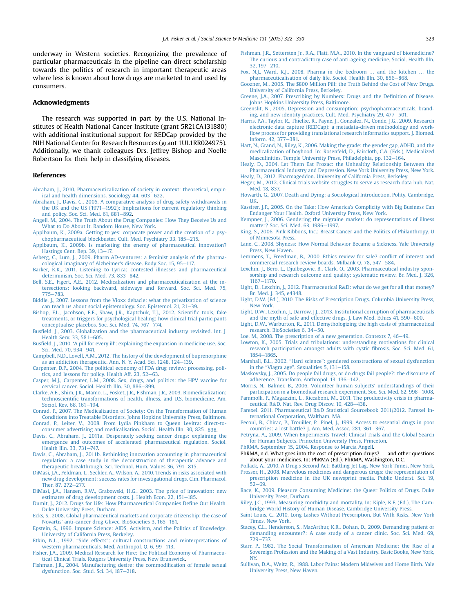<span id="page-7-0"></span>underway in Western societies. Recognizing the prevalence of particular pharmaceuticals in the pipeline can direct scholarship towards the politics of research in important therapeutic areas where less is known about how drugs are marketed to and used by consumers.

### Acknowledgments

The research was supported in part by the U.S. National Institutes of Health National Cancer Institute (grant 5R21CA131880) with additional institutional support for REDCap provided by the NIH National Center for Research Resources (grant 1UL1RR024975). Additionally, we thank colleagues Drs. Jeffrey Bishop and Noelle Robertson for their help in classifying diseases.

#### References

- [Abraham, J., 2010. Pharmaceuticalization of society in context: theoretical, empir](http://refhub.elsevier.com/S0277-9536(14)00540-1/sref1)ical and health dimensions. Sociology  $44,603-622$ .
- [Abraham, J., Davis, C., 2005. A comparative analysis of drug safety withdrawals in](http://refhub.elsevier.com/S0277-9536(14)00540-1/sref2) [the UK and the US \(1971](http://refhub.elsevier.com/S0277-9536(14)00540-1/sref2)-[1992\): Implications for current regulatory thinking](http://refhub.elsevier.com/S0277-9536(14)00540-1/sref2) and policy. Soc. Sci. Med.  $61, 881-892$ .
- [Angell, M., 2004. The Truth About the Drug Companies: How They Deceive Us and](http://refhub.elsevier.com/S0277-9536(14)00540-1/sref3) [What to Do About It. Random House, New York.](http://refhub.elsevier.com/S0277-9536(14)00540-1/sref3)
- [Applbaum, K., 2009a. Getting to yes: corporate power and the creation of a psy](http://refhub.elsevier.com/S0277-9536(14)00540-1/sref4)[chopharmaceutical blockbuster. Cult. Med. Psychiatry 33, 185](http://refhub.elsevier.com/S0277-9536(14)00540-1/sref4)-[215.](http://refhub.elsevier.com/S0277-9536(14)00540-1/sref4)
- [Applbaum, K., 2009b. Is marketing the enemy of pharmaceutical innovation?](http://refhub.elsevier.com/S0277-9536(14)00540-1/sref5) [Hastings Cent. Rep. 39, 13](http://refhub.elsevier.com/S0277-9536(14)00540-1/sref5)-[17.](http://refhub.elsevier.com/S0277-9536(14)00540-1/sref5)
- [Asberg, C., Lum, J., 2009. Pharm AD-ventures: a feminist analysis of the pharma](http://refhub.elsevier.com/S0277-9536(14)00540-1/sref6)[cological imaginary of Alzheimer's disease. Body Soc. 15, 95](http://refhub.elsevier.com/S0277-9536(14)00540-1/sref6)-[117.](http://refhub.elsevier.com/S0277-9536(14)00540-1/sref6)
- [Barker, K.K., 2011. Listening to Lyrica: contested illnesses and pharmaceutical](http://refhub.elsevier.com/S0277-9536(14)00540-1/sref7) [determinism. Soc. Sci. Med. 73, 833](http://refhub.elsevier.com/S0277-9536(14)00540-1/sref7)-[842](http://refhub.elsevier.com/S0277-9536(14)00540-1/sref7).
- [Bell, S.E., Figert, A.E., 2012. Medicalization and pharmaceuticalization at the in](http://refhub.elsevier.com/S0277-9536(14)00540-1/sref8)[tersections: looking backward, sideways and forward. Soc. Sci. Med. 75,](http://refhub.elsevier.com/S0277-9536(14)00540-1/sref8) [775](http://refhub.elsevier.com/S0277-9536(14)00540-1/sref8)-783
- [Biddle, J., 2007. Lessons from the Vioxx debacle: what the privatization of science](http://refhub.elsevier.com/S0277-9536(14)00540-1/sref9) [can teach us about social epistemology. Soc. Epistemol. 21, 21](http://refhub.elsevier.com/S0277-9536(14)00540-1/sref9)-[39](http://refhub.elsevier.com/S0277-9536(14)00540-1/sref9).
- [Bishop, F.L., Jacobson, E.E., Shaw, J.R., Kaptchuk, T.J., 2012. Scienti](http://refhub.elsevier.com/S0277-9536(14)00540-1/sref10)fic tools, fake [treatments, or triggers for psychological healing: how clinical trial participants](http://refhub.elsevier.com/S0277-9536(14)00540-1/sref10) [conceptualise placebos. Soc. Sci. Med. 74, 767](http://refhub.elsevier.com/S0277-9536(14)00540-1/sref10)-[774.](http://refhub.elsevier.com/S0277-9536(14)00540-1/sref10)
- Busfi[eld, J., 2003. Globalization and the pharmaceutical industry revisited. Int. J.](http://refhub.elsevier.com/S0277-9536(14)00540-1/sref11) [Health Serv. 33, 581](http://refhub.elsevier.com/S0277-9536(14)00540-1/sref11)-[605.](http://refhub.elsevier.com/S0277-9536(14)00540-1/sref11)
- Busfield, J., 2010. 'A pill for every ill'[: explaining the expansion in medicine use. Soc.](http://refhub.elsevier.com/S0277-9536(14)00540-1/sref12) [Sci. Med. 70, 934](http://refhub.elsevier.com/S0277-9536(14)00540-1/sref12)-[941.](http://refhub.elsevier.com/S0277-9536(14)00540-1/sref12)
- [Campbell, N.D., Lovell, A.M., 2012. The history of the development of buprenorphine](http://refhub.elsevier.com/S0277-9536(14)00540-1/sref13) [as an addiction therapeutic. Ann. N. Y. Acad. Sci. 1248, 124](http://refhub.elsevier.com/S0277-9536(14)00540-1/sref13)–[139](http://refhub.elsevier.com/S0277-9536(14)00540-1/sref13).
- [Carpenter, D.P., 2004. The political economy of FDA drug review: processing, poli](http://refhub.elsevier.com/S0277-9536(14)00540-1/sref14)tics, and lessons for policy. Health Aff.  $23$ ,  $52-63$ .
- [Casper, M.J., Carpenter, L.M., 2008. Sex, drugs, and politics: the HPV vaccine for](http://refhub.elsevier.com/S0277-9536(14)00540-1/sref15) [cervical cancer. Sociol. Health Illn. 30, 886](http://refhub.elsevier.com/S0277-9536(14)00540-1/sref15)–[899.](http://refhub.elsevier.com/S0277-9536(14)00540-1/sref15)
- [Clarke, A.E., Shim, J.K., Mamo, L., Fosket, J.R., Fishman, J.R., 2003. Biomedicalization:](http://refhub.elsevier.com/S0277-9536(14)00540-1/sref16) technoscientifi[c transformations of health, illness, and U.S. biomedicine. Am.](http://refhub.elsevier.com/S0277-9536(14)00540-1/sref16) [Sociol. Rev. 68, 161](http://refhub.elsevier.com/S0277-9536(14)00540-1/sref16)-[194](http://refhub.elsevier.com/S0277-9536(14)00540-1/sref16).
- [Conrad, P., 2007. The Medicalization of Society: On the Transformation of Human](http://refhub.elsevier.com/S0277-9536(14)00540-1/sref17) [Conditions into Treatable Disorders. Johns Hopkins University Press, Baltimore](http://refhub.elsevier.com/S0277-9536(14)00540-1/sref17). [Conrad, P., Leiter, V., 2008. From Lydia Pinkham to Queen Levitra: direct-to-](http://refhub.elsevier.com/S0277-9536(14)00540-1/sref18)

[consumer advertising and medicalisation. Sociol. Health Illn. 30, 825](http://refhub.elsevier.com/S0277-9536(14)00540-1/sref18)-[838](http://refhub.elsevier.com/S0277-9536(14)00540-1/sref18).

- [Davis, C., Abraham, J., 2011a. Desperately seeking cancer drugs: explaining the](http://refhub.elsevier.com/S0277-9536(14)00540-1/sref19) [emergence and outcomes of accelerated pharmaceutical regulation. Sociol.](http://refhub.elsevier.com/S0277-9536(14)00540-1/sref19) [Health Illn. 33, 731](http://refhub.elsevier.com/S0277-9536(14)00540-1/sref19)-[747.](http://refhub.elsevier.com/S0277-9536(14)00540-1/sref19)
- [Davis, C., Abraham, J., 2011b. Rethinking innovation accounting in pharmaceutical](http://refhub.elsevier.com/S0277-9536(14)00540-1/sref20) [regulation: a case study in the deconstruction of therapeutic advance and](http://refhub.elsevier.com/S0277-9536(14)00540-1/sref20) [therapeutic breakthrough. Sci. Technol. Hum. Values 36, 791](http://refhub.elsevier.com/S0277-9536(14)00540-1/sref20)-[815.](http://refhub.elsevier.com/S0277-9536(14)00540-1/sref20)
- [DiMasi, J.A., Feldman, L., Seckler, A., Wilson, A., 2010. Trends in risks associated with](http://refhub.elsevier.com/S0277-9536(14)00540-1/sref21) [new drug development: success rates for investigational drugs. Clin. Pharmacol.](http://refhub.elsevier.com/S0277-9536(14)00540-1/sref21) [Ther. 87, 272](http://refhub.elsevier.com/S0277-9536(14)00540-1/sref21)-[277.](http://refhub.elsevier.com/S0277-9536(14)00540-1/sref21)
- [DiMasi, J.A., Hansen, R.W., Grabowski, H.G., 2003. The price of innovation: new](http://refhub.elsevier.com/S0277-9536(14)00540-1/sref22) [estimates of drug development costs. J. Health Econ. 22, 151](http://refhub.elsevier.com/S0277-9536(14)00540-1/sref22)-[185.](http://refhub.elsevier.com/S0277-9536(14)00540-1/sref22)
- [Dumit, J., 2012. Drugs for Life: How Pharmaceutical Companies De](http://refhub.elsevier.com/S0277-9536(14)00540-1/sref23)fine Our Health. [Duke University Press, Durham.](http://refhub.elsevier.com/S0277-9536(14)00540-1/sref23)
- [Ecks, S., 2008. Global pharmaceutical markets and corporate citizenship: the case of](http://refhub.elsevier.com/S0277-9536(14)00540-1/sref24) [Novartis' anti-cancer drug Glivec. BioSocieties 3, 165](http://refhub.elsevier.com/S0277-9536(14)00540-1/sref24)-[181.](http://refhub.elsevier.com/S0277-9536(14)00540-1/sref24)
- [Epstein, S., 1996. Impure Science: AIDS, Activism, and the Politics of Knowledge.](http://refhub.elsevier.com/S0277-9536(14)00540-1/sref25) [University of California Press, Berkeley.](http://refhub.elsevier.com/S0277-9536(14)00540-1/sref25)
- Etkin, N.L., 1992. "Side effects"[: cultural constructions and reinterpretations of](http://refhub.elsevier.com/S0277-9536(14)00540-1/sref26) [western pharmaceuticals. Med. Anthropol. Q. 6, 99](http://refhub.elsevier.com/S0277-9536(14)00540-1/sref26)-[113.](http://refhub.elsevier.com/S0277-9536(14)00540-1/sref26)
- [Fisher, J.A., 2009. Medical Research for Hire: the Political Economy of Pharmaceu](http://refhub.elsevier.com/S0277-9536(14)00540-1/sref27)[tical Clinical Trials. Rutgers University Press, New Brunswick](http://refhub.elsevier.com/S0277-9536(14)00540-1/sref27).
- [Fishman, J.R., 2004. Manufacturing desire: the commodi](http://refhub.elsevier.com/S0277-9536(14)00540-1/sref28)fication of female sexual [dysfunction. Soc. Stud. Sci. 34, 187](http://refhub.elsevier.com/S0277-9536(14)00540-1/sref28)-[218.](http://refhub.elsevier.com/S0277-9536(14)00540-1/sref28)
- [Fishman, J.R., Settersten Jr., R.A., Flatt, M.A., 2010. In the vanguard of biomedicine?](http://refhub.elsevier.com/S0277-9536(14)00540-1/sref29) [The curious and contradictory case of anti-ageing medicine. Sociol. Health Illn.](http://refhub.elsevier.com/S0277-9536(14)00540-1/sref29) [32, 197](http://refhub.elsevier.com/S0277-9536(14)00540-1/sref29)-[210.](http://refhub.elsevier.com/S0277-9536(14)00540-1/sref29)
- [Fox, N.J., Ward, K.J., 2008. Pharma in the bedroom](http://refhub.elsevier.com/S0277-9536(14)00540-1/sref30) … and the kitchen … the [pharmaceuticalisation of daily life. Sociol. Health Illn. 30, 856](http://refhub.elsevier.com/S0277-9536(14)00540-1/sref30)-[868.](http://refhub.elsevier.com/S0277-9536(14)00540-1/sref30)
- [Goozner, M., 2005. The \\$800 Million Pill: the Truth Behind the Cost of New Drugs.](http://refhub.elsevier.com/S0277-9536(14)00540-1/sref31) [University of California Press, Berkeley.](http://refhub.elsevier.com/S0277-9536(14)00540-1/sref31)
- [Greene, J.A., 2007. Prescribing by Numbers: Drugs and the De](http://refhub.elsevier.com/S0277-9536(14)00540-1/sref32)finition of Disease. [Johns Hopkins University Press, Baltimore.](http://refhub.elsevier.com/S0277-9536(14)00540-1/sref32)
- [Greenslit, N., 2005. Depression and consumption: psychopharmaceuticals, brand](http://refhub.elsevier.com/S0277-9536(14)00540-1/sref33)ing, and new identity practices. Cult. Med. Psychiatry  $29,477-501$ .
- [Harris, P.A., Taylor, R., Thielke, R., Payne, J., Gonzalez, N., Conde, J.G., 2009. Research](http://refhub.elsevier.com/S0277-9536(14)00540-1/sref34) [electronic data capture \(REDCap\): a metadata-driven methodology and work](http://refhub.elsevier.com/S0277-9536(14)00540-1/sref34)fl[ow process for providing translational research informatics support. J. Biomed.](http://refhub.elsevier.com/S0277-9536(14)00540-1/sref34) Inform.  $42.377 - 381.$  $42.377 - 381.$
- [Hart, N., Grand, N., Riley, K., 2006. Making the grade: the gender gap, ADHD, and the](http://refhub.elsevier.com/S0277-9536(14)00540-1/sref35) [medicalization of boyhood. In: Rosenfeld, D., Faircloth, C.A. \(Eds.\), Medicalized](http://refhub.elsevier.com/S0277-9536(14)00540-1/sref35) [Masculinities. Temple University Press, Philadelphia, pp. 132](http://refhub.elsevier.com/S0277-9536(14)00540-1/sref35)-[164](http://refhub.elsevier.com/S0277-9536(14)00540-1/sref35).
- [Healy, D., 2004. Let Them Eat Prozac: the Unhealthy Relationship Between the](http://refhub.elsevier.com/S0277-9536(14)00540-1/sref36) [Pharmaceutical Industry and Depression. New York University Press, New York](http://refhub.elsevier.com/S0277-9536(14)00540-1/sref36).
- [Healy, D., 2012. Pharmageddon. University of California Press, Berkeley.](http://refhub.elsevier.com/S0277-9536(14)00540-1/sref37) [Heger, M., 2012. Clinical trials website struggles to serve as research data hub. Nat.](http://refhub.elsevier.com/S0277-9536(14)00540-1/sref38) [Med. 18, 837.](http://refhub.elsevier.com/S0277-9536(14)00540-1/sref38)
- [Howarth, G., 2007. Death and Dying: a Sociological Introduction. Polity, Cambridge,](http://refhub.elsevier.com/S0277-9536(14)00540-1/sref39) **IIK**
- [Kassirer, J.P., 2005. On the Take: How America's Complicity with Big Business Can](http://refhub.elsevier.com/S0277-9536(14)00540-1/sref40) [Endanger Your Health. Oxford University Press, New York.](http://refhub.elsevier.com/S0277-9536(14)00540-1/sref40)
- [Kempner, J., 2006. Gendering the migraine market: do representations of illness](http://refhub.elsevier.com/S0277-9536(14)00540-1/sref41) [matter? Soc. Sci. Med. 63, 1986](http://refhub.elsevier.com/S0277-9536(14)00540-1/sref41)-[1997.](http://refhub.elsevier.com/S0277-9536(14)00540-1/sref41)
- [King, S., 2006. Pink Ribbons, Inc.: Breast Cancer and the Politics of Philanthropy. U](http://refhub.elsevier.com/S0277-9536(14)00540-1/sref42) [of Minnesota Press](http://refhub.elsevier.com/S0277-9536(14)00540-1/sref42).
- [Lane, C., 2008. Shyness: How Normal Behavior Became a Sickness. Yale University](http://refhub.elsevier.com/S0277-9536(14)00540-1/sref43) [Press, New Haven.](http://refhub.elsevier.com/S0277-9536(14)00540-1/sref43)
- [Lemmens, T., Freedman, B., 2000. Ethics review for sale? con](http://refhub.elsevier.com/S0277-9536(14)00540-1/sref44)flict of interest and [commercial research review boards. Milbank Q. 78, 547](http://refhub.elsevier.com/S0277-9536(14)00540-1/sref44)-[584](http://refhub.elsevier.com/S0277-9536(14)00540-1/sref44).
- [Lexchin, J., Bero, L., Djulbegovic, B., Clark, O., 2003. Pharmaceutical industry spon](http://refhub.elsevier.com/S0277-9536(14)00540-1/sref45)[sorship and research outcome and quality: systematic review. Br. Med. J. 326,](http://refhub.elsevier.com/S0277-9536(14)00540-1/sref45) [1167](http://refhub.elsevier.com/S0277-9536(14)00540-1/sref45)-[1170](http://refhub.elsevier.com/S0277-9536(14)00540-1/sref45)
- [Light, D., Lexchin, J., 2012. Pharmaceutical R](http://refhub.elsevier.com/S0277-9536(14)00540-1/sref46)&[D: what do we get for all that money?](http://refhub.elsevier.com/S0277-9536(14)00540-1/sref46) [Br. Med. J. 345, e4348](http://refhub.elsevier.com/S0277-9536(14)00540-1/sref46).
- [Light, D.W. \(Ed.\), 2010. The Risks of Prescription Drugs. Columbia University Press,](http://refhub.elsevier.com/S0277-9536(14)00540-1/sref47) [New York](http://refhub.elsevier.com/S0277-9536(14)00540-1/sref47).
- [Light, D.W., Lexchin, J., Darrow, J.J., 2013. Institutional corruption of pharmaceuticals](http://refhub.elsevier.com/S0277-9536(14)00540-1/sref48) [and the myth of safe and effective drugs. J. Law Med. Ethics 41, 590](http://refhub.elsevier.com/S0277-9536(14)00540-1/sref48)-[600](http://refhub.elsevier.com/S0277-9536(14)00540-1/sref48).
- [Light, D.W., Warburton, R., 2011. Demythologizing the high costs of pharmaceutical](http://refhub.elsevier.com/S0277-9536(14)00540-1/sref49) [research. BioSocieties 6, 34](http://refhub.elsevier.com/S0277-9536(14)00540-1/sref49)-[50.](http://refhub.elsevier.com/S0277-9536(14)00540-1/sref49)
- [Loe, M., 2008. The prescription of a new generation. Contexts 7, 46](http://refhub.elsevier.com/S0277-9536(14)00540-1/sref50)-[49](http://refhub.elsevier.com/S0277-9536(14)00540-1/sref50).
- [Lowton, K., 2005. Trials and tribulations: understanding motivations for clinical](http://refhub.elsevier.com/S0277-9536(14)00540-1/sref51) [research participation amongst adults with cystic](http://refhub.elsevier.com/S0277-9536(14)00540-1/sref51) fibrosis. Soc. Sci. Med. 61,  $1854 - 1865$  $1854 - 1865$
- Marshall, B.L., 2002. "Hard science"[: gendered constructions of sexual dysfunction](http://refhub.elsevier.com/S0277-9536(14)00540-1/sref52) in the "Viagra age". Sexualities  $5, 131-158$  $5, 131-158$ .
- [Maskovsky, J., 2005. Do people fail drugs, or do drugs fail people?: the discourse of](http://refhub.elsevier.com/S0277-9536(14)00540-1/sref53) [adherence. Transform. Anthropol. 13, 136](http://refhub.elsevier.com/S0277-9536(14)00540-1/sref53)-[142](http://refhub.elsevier.com/S0277-9536(14)00540-1/sref53).

[Morris, N., Balmer, B., 2006. Volunteer human subjects' understandings of their](http://refhub.elsevier.com/S0277-9536(14)00540-1/sref54) [participation in a biomedical research experiment. Soc. Sci. Med. 62, 998](http://refhub.elsevier.com/S0277-9536(14)00540-1/sref54)-[1008](http://refhub.elsevier.com/S0277-9536(14)00540-1/sref54).

- [Pammolli, F., Magazzini, L., Riccaboni, M., 2011. The productivity crisis in pharma](http://refhub.elsevier.com/S0277-9536(14)00540-1/sref55)[ceutical R](http://refhub.elsevier.com/S0277-9536(14)00540-1/sref55)&[D. Nat. Rev. Drug Discov. 10, 428](http://refhub.elsevier.com/S0277-9536(14)00540-1/sref55)-[438.](http://refhub.elsevier.com/S0277-9536(14)00540-1/sref55)
- [Parexel, 2011. Pharmaceutical R](http://refhub.elsevier.com/S0277-9536(14)00540-1/sref56)&[D Statistical Sourcebook 2011/2012. Parexel In](http://refhub.elsevier.com/S0277-9536(14)00540-1/sref56)[ternational Corporation, Waltham, MA.](http://refhub.elsevier.com/S0277-9536(14)00540-1/sref56)
- [Pecoul, B., Chirac, P., Trouiller, P., Pinel, J., 1999. Access to essential drugs in poor](http://refhub.elsevier.com/S0277-9536(14)00540-1/sref57) [countries: a lost battle? J. Am. Med. Assoc. 281, 361](http://refhub.elsevier.com/S0277-9536(14)00540-1/sref57)-[367.](http://refhub.elsevier.com/S0277-9536(14)00540-1/sref57)
- [Petryna, A., 2009. When Experiments Travel: Clinical Trials and the Global Search](http://refhub.elsevier.com/S0277-9536(14)00540-1/sref58) [for Human Subjects. Princeton University Press, Princeton](http://refhub.elsevier.com/S0277-9536(14)00540-1/sref58).

[PhRMA, September 15, 2004. Response to Marcia Angell](http://refhub.elsevier.com/S0277-9536(14)00540-1/sref59).

PhRMA, n.d. What goes into the cost of prescription drugs? … and other questions about your medicines. In: PhRMA (Ed.). PhRMA, Washington, D.C.

- [Pollack, A., 2010. A Drug's Second Act: Battling Jet Lag. New York Times, New York](http://refhub.elsevier.com/S0277-9536(14)00540-1/sref60). [Prosser, H., 2008. Marvelous medicines and dangerous drugs: the representation of](http://refhub.elsevier.com/S0277-9536(14)00540-1/sref61) [prescription medicine in the UK newsprint media. Public Underst. Sci. 19,](http://refhub.elsevier.com/S0277-9536(14)00540-1/sref61)  $52 - 69.$  $52 - 69.$  $52 - 69.$
- [Race, K., 2009. Pleasure Consuming Medicine: the Queer Politics of Drugs. Duke](http://refhub.elsevier.com/S0277-9536(14)00540-1/sref62) [University Press, Durham.](http://refhub.elsevier.com/S0277-9536(14)00540-1/sref62)
- [Riley, J.C., 1993. Measuring morbidity and mortality. In: Kiple, K.F. \(Ed.\), The Cam](http://refhub.elsevier.com/S0277-9536(14)00540-1/sref63)[bridge World History of Human Disease. Cambridge University Press.](http://refhub.elsevier.com/S0277-9536(14)00540-1/sref63)
- [Saint Louis, C., 2010. Long Lashes Without Prescription, But With Risks. New York](http://refhub.elsevier.com/S0277-9536(14)00540-1/sref64) [Times, New York.](http://refhub.elsevier.com/S0277-9536(14)00540-1/sref64)
- [Stacey, C.L., Henderson, S., MacArthur, K.R., Dohan, D., 2009. Demanding patient or](http://refhub.elsevier.com/S0277-9536(14)00540-1/sref65) [demanding encounter?: A case study of a cancer clinic. Soc. Sci. Med. 69,](http://refhub.elsevier.com/S0277-9536(14)00540-1/sref65) [729](http://refhub.elsevier.com/S0277-9536(14)00540-1/sref65)-[737.](http://refhub.elsevier.com/S0277-9536(14)00540-1/sref65)
- [Starr, P., 1982. The Social Transformation of American Medicine: the Rise of a](http://refhub.elsevier.com/S0277-9536(14)00540-1/sref66) [Sovereign Profession and the Making of a Vast Industry. Basic Books, New York,](http://refhub.elsevier.com/S0277-9536(14)00540-1/sref66) [NY.](http://refhub.elsevier.com/S0277-9536(14)00540-1/sref66)
- [Sullivan, D.A., Weitz, R., 1988. Labor Pains: Modern Midwives and Home Birth. Yale](http://refhub.elsevier.com/S0277-9536(14)00540-1/sref67) [University Press, New Haven](http://refhub.elsevier.com/S0277-9536(14)00540-1/sref67).